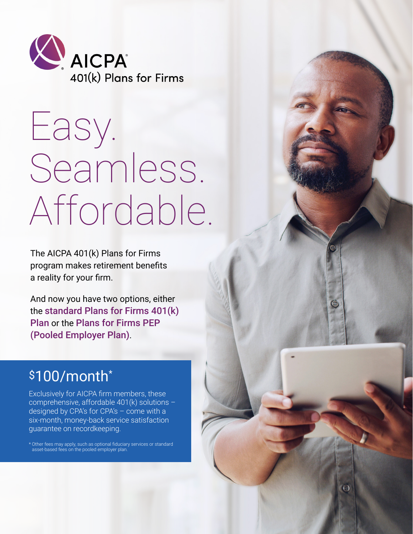

# Easy. Seamless. Affordable.

The AICPA 401(k) Plans for Firms program makes retirement benefits a reality for your firm.

And now you have two options, either the standard Plans for Firms 401(k) Plan or the Plans for Firms PEP (Pooled Employer Plan).

# \$100/month<sup>\*</sup>

Exclusively for AICPA firm members, these comprehensive, affordable 401(k) solutions designed by CPA's for CPA's – come with a six-month, money-back service satisfaction guarantee on recordkeeping.

\* Other fees may apply, such as optional fiduciary services or standard asset-based fees on the pooled employer plan.